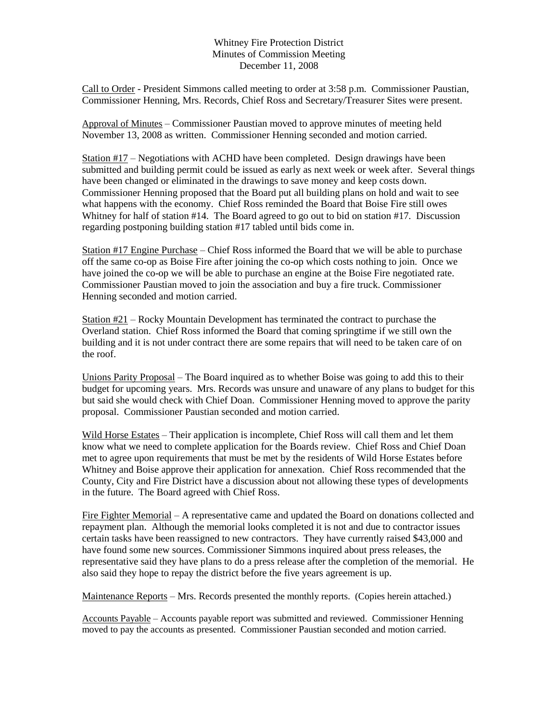## Whitney Fire Protection District Minutes of Commission Meeting December 11, 2008

Call to Order - President Simmons called meeting to order at 3:58 p.m. Commissioner Paustian, Commissioner Henning, Mrs. Records, Chief Ross and Secretary/Treasurer Sites were present.

Approval of Minutes – Commissioner Paustian moved to approve minutes of meeting held November 13, 2008 as written. Commissioner Henning seconded and motion carried.

Station #17 – Negotiations with ACHD have been completed. Design drawings have been submitted and building permit could be issued as early as next week or week after. Several things have been changed or eliminated in the drawings to save money and keep costs down. Commissioner Henning proposed that the Board put all building plans on hold and wait to see what happens with the economy. Chief Ross reminded the Board that Boise Fire still owes Whitney for half of station #14. The Board agreed to go out to bid on station #17. Discussion regarding postponing building station #17 tabled until bids come in.

Station #17 Engine Purchase – Chief Ross informed the Board that we will be able to purchase off the same co-op as Boise Fire after joining the co-op which costs nothing to join. Once we have joined the co-op we will be able to purchase an engine at the Boise Fire negotiated rate. Commissioner Paustian moved to join the association and buy a fire truck. Commissioner Henning seconded and motion carried.

Station #21 – Rocky Mountain Development has terminated the contract to purchase the Overland station. Chief Ross informed the Board that coming springtime if we still own the building and it is not under contract there are some repairs that will need to be taken care of on the roof.

Unions Parity Proposal – The Board inquired as to whether Boise was going to add this to their budget for upcoming years. Mrs. Records was unsure and unaware of any plans to budget for this but said she would check with Chief Doan. Commissioner Henning moved to approve the parity proposal. Commissioner Paustian seconded and motion carried.

Wild Horse Estates – Their application is incomplete, Chief Ross will call them and let them know what we need to complete application for the Boards review. Chief Ross and Chief Doan met to agree upon requirements that must be met by the residents of Wild Horse Estates before Whitney and Boise approve their application for annexation. Chief Ross recommended that the County, City and Fire District have a discussion about not allowing these types of developments in the future. The Board agreed with Chief Ross.

Fire Fighter Memorial – A representative came and updated the Board on donations collected and repayment plan. Although the memorial looks completed it is not and due to contractor issues certain tasks have been reassigned to new contractors. They have currently raised \$43,000 and have found some new sources. Commissioner Simmons inquired about press releases, the representative said they have plans to do a press release after the completion of the memorial. He also said they hope to repay the district before the five years agreement is up.

Maintenance Reports – Mrs. Records presented the monthly reports. (Copies herein attached.)

Accounts Payable – Accounts payable report was submitted and reviewed. Commissioner Henning moved to pay the accounts as presented. Commissioner Paustian seconded and motion carried.